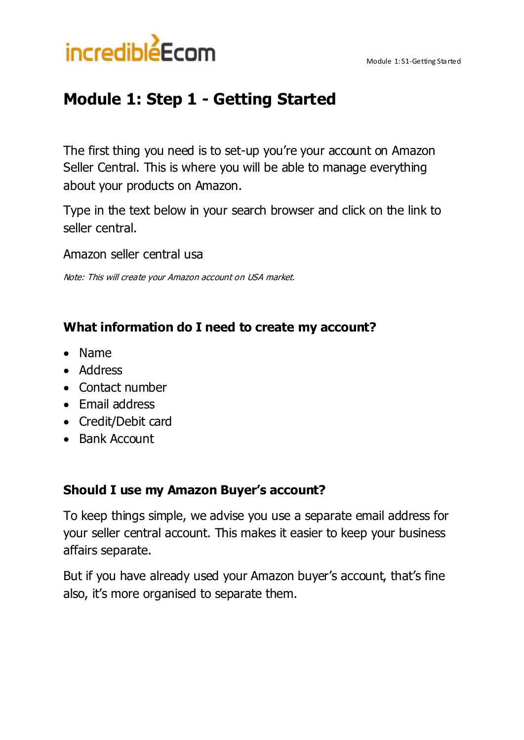



# **Module 1: Step 1 - Getting Started**

The first thing you need is to set-up you're your account on Amazon Seller Central. This is where you will be able to manage everything about your products on Amazon.

Type in the text below in your search browser and click on the link to seller central.

Amazon seller central usa

Note: This will create your Amazon account on USA market.

#### **What information do I need to create my account?**

- Name
- Address
- Contact number
- Email address
- Credit/Debit card
- Bank Account

#### **Should I use my Amazon Buyer's account?**

To keep things simple, we advise you use a separate email address for your seller central account. This makes it easier to keep your business affairs separate.

But if you have already used your Amazon buyer's account, that's fine also, it's more organised to separate them.